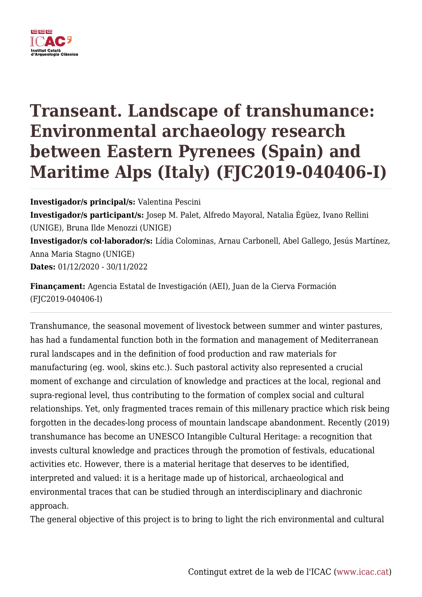

## **Transeant. Landscape of transhumance: Environmental archaeology research between Eastern Pyrenees (Spain) and Maritime Alps (Italy) (FJC2019-040406-I)**

**Investigador/s principal/s:** Valentina Pescini **Investigador/s participant/s:** Josep M. Palet, Alfredo Mayoral, Natalia Égüez, Ivano Rellini (UNIGE), Bruna Ilde Menozzi (UNIGE) **Investigador/s col·laborador/s:** Lídia Colominas, Arnau Carbonell, Abel Gallego, Jesús Martínez, Anna Maria Stagno (UNIGE) **Dates:** 01/12/2020 - 30/11/2022

**Finançament:** Agencia Estatal de Investigación (AEI), Juan de la Cierva Formación (FJC2019-040406-I)

Transhumance, the seasonal movement of livestock between summer and winter pastures, has had a fundamental function both in the formation and management of Mediterranean rural landscapes and in the definition of food production and raw materials for manufacturing (eg. wool, skins etc.). Such pastoral activity also represented a crucial moment of exchange and circulation of knowledge and practices at the local, regional and supra-regional level, thus contributing to the formation of complex social and cultural relationships. Yet, only fragmented traces remain of this millenary practice which risk being forgotten in the decades-long process of mountain landscape abandonment. Recently (2019) transhumance has become an UNESCO Intangible Cultural Heritage: a recognition that invests cultural knowledge and practices through the promotion of festivals, educational activities etc. However, there is a material heritage that deserves to be identified, interpreted and valued: it is a heritage made up of historical, archaeological and environmental traces that can be studied through an interdisciplinary and diachronic approach.

The general objective of this project is to bring to light the rich environmental and cultural